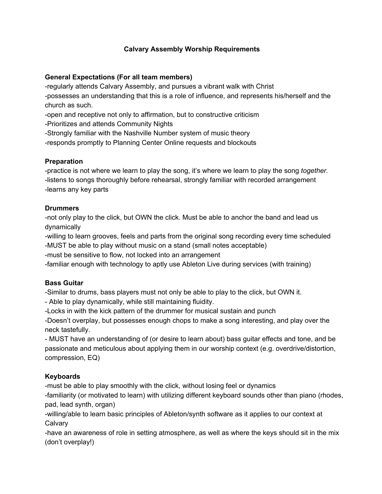#### **Calvary Assembly Worship Requirements**

#### **General Expectations (For all team members)**

-regularly attends Calvary Assembly, and pursues a vibrant walk with Christ -possesses an understanding that this is a role of influence, and represents his/herself and the church as such.

-open and receptive not only to affirmation, but to constructive criticism

-Prioritizes and attends Community Nights

-Strongly familiar with the Nashville Number system of music theory

-responds promptly to Planning Center Online requests and blockouts

#### **Preparation**

-practice is not where we learn to play the song, it's where we learn to play the song *together.* -listens to songs thoroughly before rehearsal, strongly familiar with recorded arrangement -learns any key parts

#### **Drummers**

-not only play to the click, but OWN the click. Must be able to anchor the band and lead us dynamically

-willing to learn grooves, feels and parts from the original song recording every time scheduled -MUST be able to play without music on a stand (small notes acceptable)

-must be sensitive to flow, not locked into an arrangement

-familiar enough with technology to aptly use Ableton Live during services (with training)

### **Bass Guitar**

-Similar to drums, bass players must not only be able to play to the click, but OWN it.

- Able to play dynamically, while still maintaining fluidity.

-Locks in with the kick pattern of the drummer for musical sustain and punch

-Doesn't overplay, but possesses enough chops to make a song interesting, and play over the neck tastefully.

- MUST have an understanding of (or desire to learn about) bass guitar effects and tone, and be passionate and meticulous about applying them in our worship context (e.g. overdrive/distortion, compression, EQ)

### **Keyboards**

-must be able to play smoothly with the click, without losing feel or dynamics

-familiarity (or motivated to learn) with utilizing different keyboard sounds other than piano (rhodes, pad, lead synth, organ)

-willing/able to learn basic principles of Ableton/synth software as it applies to our context at **Calvary** 

-have an awareness of role in setting atmosphere, as well as where the keys should sit in the mix (don't overplay!)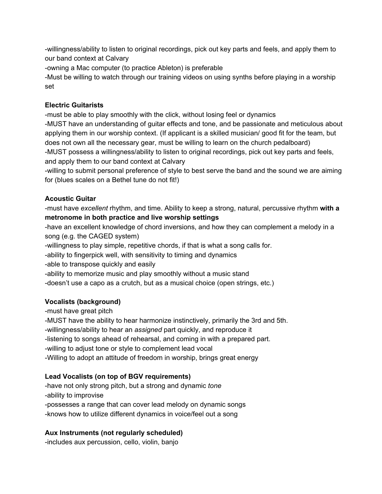-willingness/ability to listen to original recordings, pick out key parts and feels, and apply them to our band context at Calvary

-owning a Mac computer (to practice Ableton) is preferable

-Must be willing to watch through our training videos on using synths before playing in a worship set

#### **Electric Guitarists**

-must be able to play smoothly with the click, without losing feel or dynamics

-MUST have an understanding of guitar effects and tone, and be passionate and meticulous about applying them in our worship context. (If applicant is a skilled musician/ good fit for the team, but does not own all the necessary gear, must be willing to learn on the church pedalboard) -MUST possess a willingness/ability to listen to original recordings, pick out key parts and feels, and apply them to our band context at Calvary

-willing to submit personal preference of style to best serve the band and the sound we are aiming for (blues scales on a Bethel tune do not fit!)

## **Acoustic Guitar**

-must have *excellent* rhythm, and time. Ability to keep a strong, natural, percussive rhythm **with a metronome in both practice and live worship settings**

-have an excellent knowledge of chord inversions, and how they can complement a melody in a song (e.g. the CAGED system)

-willingness to play simple, repetitive chords, if that is what a song calls for.

-ability to fingerpick well, with sensitivity to timing and dynamics

-able to transpose quickly and easily

-ability to memorize music and play smoothly without a music stand

-doesn't use a capo as a crutch, but as a musical choice (open strings, etc.)

# **Vocalists (background)**

-must have great pitch

-MUST have the ability to hear harmonize instinctively, primarily the 3rd and 5th.

-willingness/ability to hear an *assigned* part quickly, and reproduce it

-listening to songs ahead of rehearsal, and coming in with a prepared part.

-willing to adjust tone or style to complement lead vocal

-Willing to adopt an attitude of freedom in worship, brings great energy

# **Lead Vocalists (on top of BGV requirements)**

-have not only strong pitch, but a strong and dynamic *tone* -ability to improvise -possesses a range that can cover lead melody on dynamic songs -knows how to utilize different dynamics in voice/feel out a song

### **Aux Instruments (not regularly scheduled)**

-includes aux percussion, cello, violin, banjo